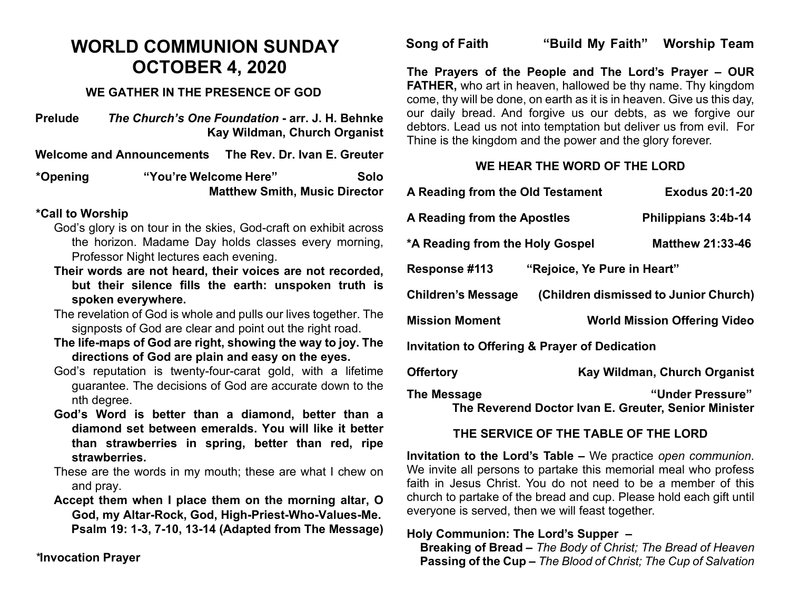## **WORLD COMMUNION SUNDAY OCTOBER 4, 2020**

#### **WE GATHER IN THE PRESENCE OF GOD**

**Prelude** *The Church's One Foundation* **- arr. J. H. Behnke Kay Wildman, Church Organist**

**Welcome and Announcements The Rev. Dr. Ivan E. Greuter**

**\*Opening "You're Welcome Here" Solo Matthew Smith, Music Director** 

#### **\*Call to Worship**

- God's glory is on tour in the skies, God-craft on exhibit across the horizon. Madame Day holds classes every morning, Professor Night lectures each evening.
- **Their words are not heard, their voices are not recorded, but their silence fills the earth: unspoken truth is spoken everywhere.**
- The revelation of God is whole and pulls our lives together. The signposts of God are clear and point out the right road.
- **The life-maps of God are right, showing the way to joy. The directions of God are plain and easy on the eyes.**
- God's reputation is twenty-four-carat gold, with a lifetime guarantee. The decisions of God are accurate down to the nth degree.
- **God's Word is better than a diamond, better than a diamond set between emeralds. You will like it better than strawberries in spring, better than red, ripe strawberries.**
- These are the words in my mouth; these are what I chew on and pray.
- **Accept them when I place them on the morning altar, O God, my Altar-Rock, God, High-Priest-Who-Values-Me. Psalm 19: 1-3, 7-10, 13-14 (Adapted from The Message)**

*\****Invocation Prayer** 

**Song of Faith "Build My Faith" Worship Team**

**The Prayers of the People and The Lord's Prayer – OUR FATHER,** who art in heaven, hallowed be thy name. Thy kingdom come, thy will be done, on earth as it is in heaven. Give us this day, our daily bread. And forgive us our debts, as we forgive our debtors. Lead us not into temptation but deliver us from evil. For Thine is the kingdom and the power and the glory forever.

### **WE HEAR THE WORD OF THE LORD**

| A Reading from the Old Testament                                                        | <b>Exodus 20:1-20</b>                 |
|-----------------------------------------------------------------------------------------|---------------------------------------|
| <b>A Reading from the Apostles</b>                                                      | Philippians 3:4b-14                   |
| *A Reading from the Holy Gospel                                                         | <b>Matthew 21:33-46</b>               |
| <b>Response #113</b><br>"Rejoice, Ye Pure in Heart"                                     |                                       |
| Children's Message                                                                      | (Children dismissed to Junior Church) |
| Mission Moment                                                                          | <b>World Mission Offering Video</b>   |
| <b>Invitation to Offering &amp; Prayer of Dedication</b>                                |                                       |
| <b>Offertory</b>                                                                        | Kay Wildman, Church Organist          |
| "Under Pressure"<br>The Message<br>The Reverend Doctor Ivan E. Greuter, Senior Minister |                                       |

#### **THE SERVICE OF THE TABLE OF THE LORD**

**Invitation to the Lord's Table –** We practice *open communion*. We invite all persons to partake this memorial meal who profess faith in Jesus Christ. You do not need to be a member of this church to partake of the bread and cup. Please hold each gift until everyone is served, then we will feast together.

#### **Holy Communion: The Lord's Supper –**

 **Breaking of Bread –** *The Body of Christ; The Bread of Heaven*  **Passing of the Cup –** *The Blood of Christ; The Cup of Salvation*